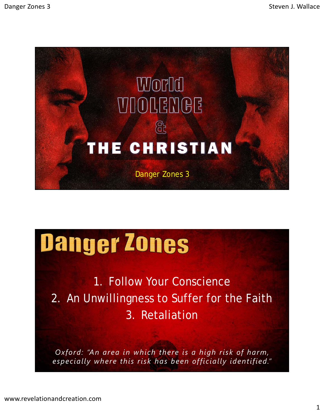

## Danger Zones

1. Follow Your Conscience 2. An Unwillingness to Suffer for the Faith 3. Retaliation

*Oxford: "An area in which there is a high risk of harm, especially where this risk has been officially identified."*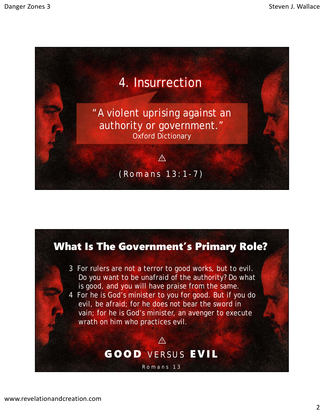

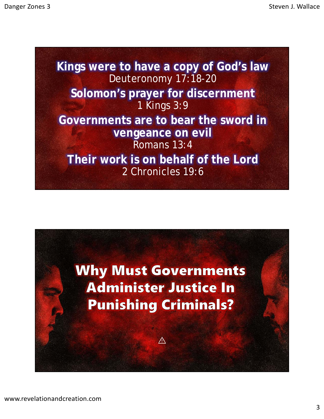**Kings were to have a copy of God's law** Deuteronomy 17:18-20 **Solomon's prayer for discernment** 1 Kings 3:9 **Governments are to bear the sword in vengeance on evil** Romans 13:4 **Their work is on behalf of the Lord** 2 Chronicles 19:6

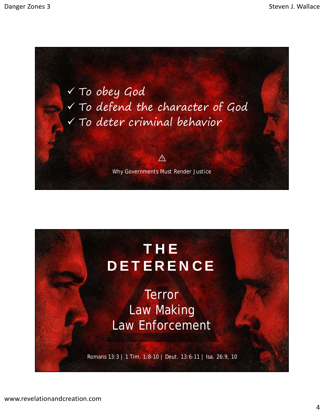